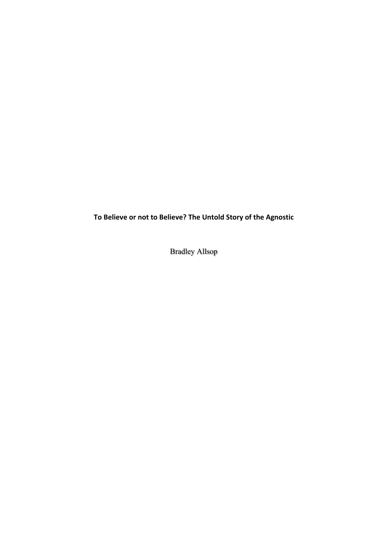To Believe or not to Believe? The Untold Story of the Agnostic

Bradley Allsop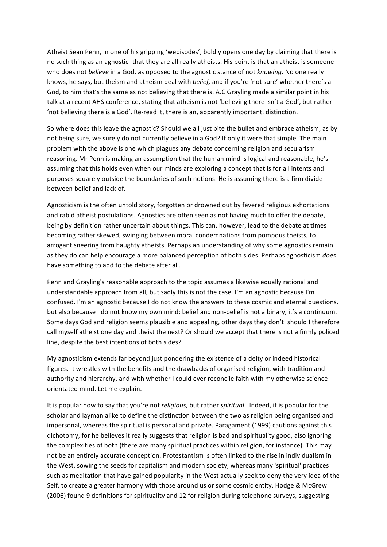Atheist Sean Penn, in one of his gripping 'webisodes', boldly opens one day by claiming that there is no such thing as an agnostic- that they are all really atheists. His point is that an atheist is someone who does not *believe* in a God, as opposed to the agnostic stance of not *knowing*. No one really knows, he says, but theism and atheism deal with *belief*, and if you're 'not sure' whether there's a God, to him that's the same as not believing that there is. A.C Grayling made a similar point in his talk at a recent AHS conference, stating that atheism is not 'believing there isn't a God', but rather 'not believing there is a God'. Re-read it, there is an, apparently important, distinction.

So where does this leave the agnostic? Should we all just bite the bullet and embrace atheism, as by not being sure, we surely do not currently believe in a God? If only it were that simple. The main problem with the above is one which plagues any debate concerning religion and secularism: reasoning. Mr Penn is making an assumption that the human mind is logical and reasonable, he's assuming that this holds even when our minds are exploring a concept that is for all intents and purposes squarely outside the boundaries of such notions. He is assuming there is a firm divide between belief and lack of.

Agnosticism is the often untold story, forgotten or drowned out by fevered religious exhortations and rabid atheist postulations. Agnostics are often seen as not having much to offer the debate, being by definition rather uncertain about things. This can, however, lead to the debate at times becoming rather skewed, swinging between moral condemnations from pompous theists, to arrogant sneering from haughty atheists. Perhaps an understanding of why some agnostics remain as they do can help encourage a more balanced perception of both sides. Perhaps agnosticism *does* have something to add to the debate after all.

Penn and Grayling's reasonable approach to the topic assumes a likewise equally rational and understandable approach from all, but sadly this is not the case. I'm an agnostic because I'm confused. I'm an agnostic because I do not know the answers to these cosmic and eternal questions, but also because I do not know my own mind: belief and non-belief is not a binary, it's a continuum. Some days God and religion seems plausible and appealing, other days they don't: should I therefore call myself atheist one day and theist the next? Or should we accept that there is not a firmly policed line, despite the best intentions of both sides?

My agnosticism extends far beyond just pondering the existence of a deity or indeed historical figures. It wrestles with the benefits and the drawbacks of organised religion, with tradition and authority and hierarchy, and with whether I could ever reconcile faith with my otherwise scienceorientated mind. Let me explain.

It is popular now to say that you're not *religious*, but rather *spiritual*. Indeed, it is popular for the scholar and layman alike to define the distinction between the two as religion being organised and impersonal, whereas the spiritual is personal and private. Paragament (1999) cautions against this dichotomy, for he believes it really suggests that religion is bad and spirituality good, also ignoring the complexities of both (there are many spiritual practices within religion, for instance). This may not be an entirely accurate conception. Protestantism is often linked to the rise in individualism in the West, sowing the seeds for capitalism and modern society, whereas many 'spiritual' practices such as meditation that have gained popularity in the West actually seek to deny the very idea of the Self, to create a greater harmony with those around us or some cosmic entity. Hodge & McGrew (2006) found 9 definitions for spirituality and 12 for religion during telephone surveys, suggesting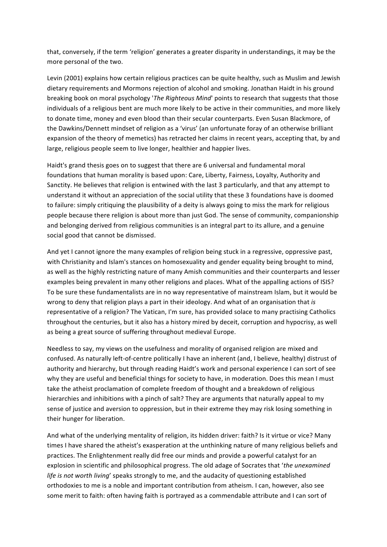that, conversely, if the term 'religion' generates a greater disparity in understandings, it may be the more personal of the two.

Levin (2001) explains how certain religious practices can be quite healthy, such as Muslim and Jewish dietary requirements and Mormons rejection of alcohol and smoking. Jonathan Haidt in his ground breaking book on moral psychology '*The Righteous Mind*' points to research that suggests that those individuals of a religious bent are much more likely to be active in their communities, and more likely to donate time, money and even blood than their secular counterparts. Even Susan Blackmore, of the Dawkins/Dennett mindset of religion as a 'virus' (an unfortunate foray of an otherwise brilliant expansion of the theory of memetics) has retracted her claims in recent years, accepting that, by and large, religious people seem to live longer, healthier and happier lives.

Haidt's grand thesis goes on to suggest that there are 6 universal and fundamental moral foundations that human morality is based upon: Care, Liberty, Fairness, Loyalty, Authority and Sanctity. He believes that religion is entwined with the last 3 particularly, and that any attempt to understand it without an appreciation of the social utility that these 3 foundations have is doomed to failure: simply critiquing the plausibility of a deity is always going to miss the mark for religious people because there religion is about more than just God. The sense of community, companionship and belonging derived from religious communities is an integral part to its allure, and a genuine social good that cannot be dismissed.

And yet I cannot ignore the many examples of religion being stuck in a regressive, oppressive past, with Christianity and Islam's stances on homosexuality and gender equality being brought to mind, as well as the highly restricting nature of many Amish communities and their counterparts and lesser examples being prevalent in many other religions and places. What of the appalling actions of ISIS? To be sure these fundamentalists are in no way representative of mainstream Islam, but it would be wrong to deny that religion plays a part in their ideology. And what of an organisation that *is* representative of a religion? The Vatican, I'm sure, has provided solace to many practising Catholics throughout the centuries, but it also has a history mired by deceit, corruption and hypocrisy, as well as being a great source of suffering throughout medieval Europe.

Needless to say, my views on the usefulness and morality of organised religion are mixed and confused. As naturally left-of-centre politically I have an inherent (and, I believe, healthy) distrust of authority and hierarchy, but through reading Haidt's work and personal experience I can sort of see why they are useful and beneficial things for society to have, in moderation. Does this mean I must take the atheist proclamation of complete freedom of thought and a breakdown of religious hierarchies and inhibitions with a pinch of salt? They are arguments that naturally appeal to my sense of justice and aversion to oppression, but in their extreme they may risk losing something in their hunger for liberation.

And what of the underlying mentality of religion, its hidden driver: faith? Is it virtue or vice? Many times I have shared the atheist's exasperation at the unthinking nature of many religious beliefs and practices. The Enlightenment really did free our minds and provide a powerful catalyst for an explosion in scientific and philosophical progress. The old adage of Socrates that 'the unexamined *life is not worth living'* speaks strongly to me, and the audacity of questioning established orthodoxies to me is a noble and important contribution from atheism. I can, however, also see some merit to faith: often having faith is portrayed as a commendable attribute and I can sort of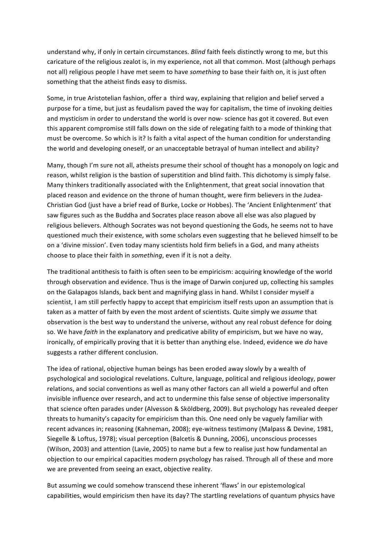understand why, if only in certain circumstances. *Blind* faith feels distinctly wrong to me, but this caricature of the religious zealot is, in my experience, not all that common. Most (although perhaps not all) religious people I have met seem to have *something* to base their faith on, it is just often something that the atheist finds easy to dismiss.

Some, in true Aristotelian fashion, offer a third way, explaining that religion and belief served a purpose for a time, but just as feudalism paved the way for capitalism, the time of invoking deities and mysticism in order to understand the world is over now- science has got it covered. But even this apparent compromise still falls down on the side of relegating faith to a mode of thinking that must be overcome. So which is it? Is faith a vital aspect of the human condition for understanding the world and developing oneself, or an unacceptable betrayal of human intellect and ability?

Many, though I'm sure not all, atheists presume their school of thought has a monopoly on logic and reason, whilst religion is the bastion of superstition and blind faith. This dichotomy is simply false. Many thinkers traditionally associated with the Enlightenment, that great social innovation that placed reason and evidence on the throne of human thought, were firm believers in the Judea-Christian God (just have a brief read of Burke, Locke or Hobbes). The 'Ancient Enlightenment' that saw figures such as the Buddha and Socrates place reason above all else was also plagued by religious believers. Although Socrates was not beyond questioning the Gods, he seems not to have questioned much their existence, with some scholars even suggesting that he believed himself to be on a 'divine mission'. Even today many scientists hold firm beliefs in a God, and many atheists choose to place their faith in *something*, even if it is not a deity.

The traditional antithesis to faith is often seen to be empiricism: acquiring knowledge of the world through observation and evidence. Thus is the image of Darwin conjured up, collecting his samples on the Galapagos Islands, back bent and magnifying glass in hand. Whilst I consider myself a scientist, I am still perfectly happy to accept that empiricism itself rests upon an assumption that is taken as a matter of faith by even the most ardent of scientists. Quite simply we assume that observation is the best way to understand the universe, without any real robust defence for doing so. We have *faith* in the explanatory and predicative ability of empiricism, but we have no way, ironically, of empirically proving that it is better than anything else. Indeed, evidence we do have suggests a rather different conclusion.

The idea of rational, objective human beings has been eroded away slowly by a wealth of psychological and sociological revelations. Culture, language, political and religious ideology, power relations, and social conventions as well as many other factors can all wield a powerful and often invisible influence over research, and act to undermine this false sense of objective impersonality that science often parades under (Alvesson & Sköldberg, 2009). But psychology has revealed deeper threats to humanity's capacity for empiricism than this. One need only be vaguely familiar with recent advances in; reasoning (Kahneman, 2008); eye-witness testimony (Malpass & Devine, 1981, Siegelle & Loftus, 1978); visual perception (Balcetis & Dunning, 2006), unconscious processes (Wilson, 2003) and attention (Lavie, 2005) to name but a few to realise just how fundamental an objection to our empirical capacities modern psychology has raised. Through all of these and more we are prevented from seeing an exact, objective reality.

But assuming we could somehow transcend these inherent 'flaws' in our epistemological capabilities, would empiricism then have its day? The startling revelations of quantum physics have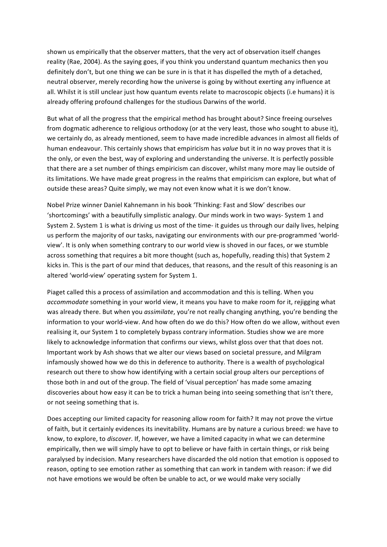shown us empirically that the observer matters, that the very act of observation itself changes reality (Rae, 2004). As the saying goes, if you think you understand quantum mechanics then you definitely don't, but one thing we can be sure in is that it has dispelled the myth of a detached, neutral observer, merely recording how the universe is going by without exerting any influence at all. Whilst it is still unclear just how quantum events relate to macroscopic objects (i.e humans) it is already offering profound challenges for the studious Darwins of the world.

But what of all the progress that the empirical method has brought about? Since freeing ourselves from dogmatic adherence to religious orthodoxy (or at the very least, those who sought to abuse it), we certainly do, as already mentioned, seem to have made incredible advances in almost all fields of human endeavour. This certainly shows that empiricism has *value* but it in no way proves that it is the only, or even the best, way of exploring and understanding the universe. It is perfectly possible that there are a set number of things empiricism can discover, whilst many more may lie outside of its limitations. We have made great progress in the realms that empiricism can explore, but what of outside these areas? Quite simply, we may not even know what it is we don't know.

Nobel Prize winner Daniel Kahnemann in his book 'Thinking: Fast and Slow' describes our 'shortcomings' with a beautifully simplistic analogy. Our minds work in two ways- System 1 and System 2. System 1 is what is driving us most of the time- it guides us through our daily lives, helping us perform the majority of our tasks, navigating our environments with our pre-programmed 'worldview'. It is only when something contrary to our world view is shoved in our faces, or we stumble across something that requires a bit more thought (such as, hopefully, reading this) that System 2 kicks in. This is the part of our mind that deduces, that reasons, and the result of this reasoning is an altered 'world-view' operating system for System 1.

Piaget called this a process of assimilation and accommodation and this is telling. When you accommodate something in your world view, it means you have to make room for it, rejigging what was already there. But when you *assimilate*, you're not really changing anything, you're bending the information to your world-view. And how often do we do this? How often do we allow, without even realising it, our System 1 to completely bypass contrary information. Studies show we are more likely to acknowledge information that confirms our views, whilst gloss over that that does not. Important work by Ash shows that we alter our views based on societal pressure, and Milgram infamously showed how we do this in deference to authority. There is a wealth of psychological research out there to show how identifying with a certain social group alters our perceptions of those both in and out of the group. The field of 'visual perception' has made some amazing discoveries about how easy it can be to trick a human being into seeing something that isn't there, or not seeing something that is.

Does accepting our limited capacity for reasoning allow room for faith? It may not prove the virtue of faith, but it certainly evidences its inevitability. Humans are by nature a curious breed: we have to know, to explore, to *discover*. If, however, we have a limited capacity in what we can determine empirically, then we will simply have to opt to believe or have faith in certain things, or risk being paralysed by indecision. Many researchers have discarded the old notion that emotion is opposed to reason, opting to see emotion rather as something that can work in tandem with reason: if we did not have emotions we would be often be unable to act, or we would make very socially